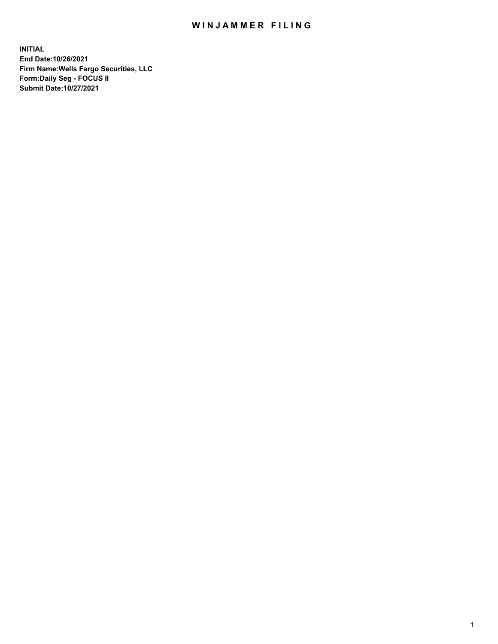## WIN JAMMER FILING

**INITIAL End Date:10/26/2021 Firm Name:Wells Fargo Securities, LLC Form:Daily Seg - FOCUS II Submit Date:10/27/2021**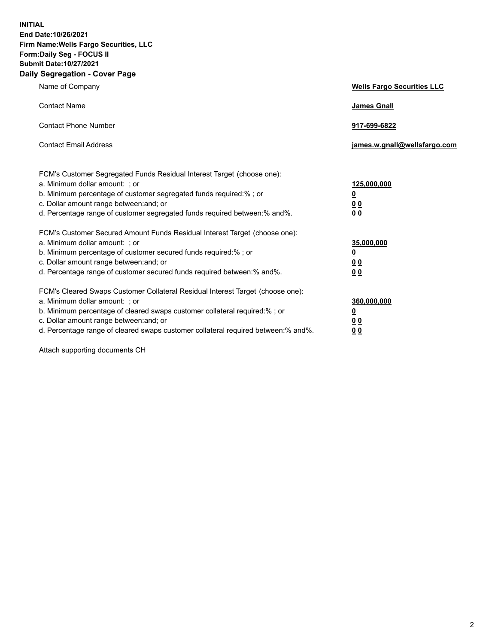**INITIAL End Date:10/26/2021 Firm Name:Wells Fargo Securities, LLC Form:Daily Seg - FOCUS II Submit Date:10/27/2021 Daily Segregation - Cover Page**

| Name of Company                                                                                                                                                                                                                                                                                                               | <b>Wells Fargo Securities LLC</b>                          |
|-------------------------------------------------------------------------------------------------------------------------------------------------------------------------------------------------------------------------------------------------------------------------------------------------------------------------------|------------------------------------------------------------|
| <b>Contact Name</b>                                                                                                                                                                                                                                                                                                           | <b>James Gnall</b>                                         |
| <b>Contact Phone Number</b>                                                                                                                                                                                                                                                                                                   | 917-699-6822                                               |
| <b>Contact Email Address</b>                                                                                                                                                                                                                                                                                                  | james.w.gnall@wellsfargo.com                               |
| FCM's Customer Segregated Funds Residual Interest Target (choose one):<br>a. Minimum dollar amount: ; or<br>b. Minimum percentage of customer segregated funds required:% ; or<br>c. Dollar amount range between: and; or<br>d. Percentage range of customer segregated funds required between:% and%.                        | 125,000,000<br><u>0</u><br>0 <sub>0</sub><br>00            |
| FCM's Customer Secured Amount Funds Residual Interest Target (choose one):<br>a. Minimum dollar amount: ; or<br>b. Minimum percentage of customer secured funds required:%; or<br>c. Dollar amount range between: and; or<br>d. Percentage range of customer secured funds required between: % and %.                         | 35,000,000<br><u>0</u><br>0 <sub>0</sub><br>0 <sub>0</sub> |
| FCM's Cleared Swaps Customer Collateral Residual Interest Target (choose one):<br>a. Minimum dollar amount: ; or<br>b. Minimum percentage of cleared swaps customer collateral required:%; or<br>c. Dollar amount range between: and; or<br>d. Percentage range of cleared swaps customer collateral required between:% and%. | 360,000,000<br><u>0</u><br>00<br>00                        |

Attach supporting documents CH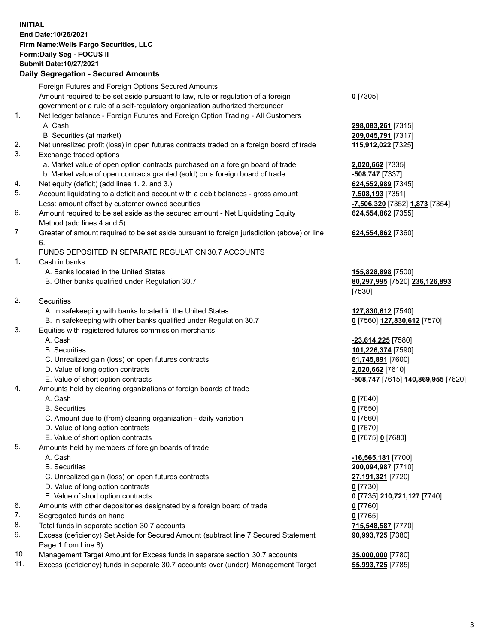**INITIAL End Date:10/26/2021 Firm Name:Wells Fargo Securities, LLC Form:Daily Seg - FOCUS II Submit Date:10/27/2021**

## **Daily Segregation - Secured Amounts**

|    | Foreign Futures and Foreign Options Secured Amounts                                               |                                                                 |
|----|---------------------------------------------------------------------------------------------------|-----------------------------------------------------------------|
|    | Amount required to be set aside pursuant to law, rule or regulation of a foreign                  | $0$ [7305]                                                      |
|    | government or a rule of a self-regulatory organization authorized thereunder                      |                                                                 |
| 1. | Net ledger balance - Foreign Futures and Foreign Option Trading - All Customers                   |                                                                 |
|    | A. Cash                                                                                           | 298,083,261 [7315]                                              |
|    | B. Securities (at market)                                                                         | 209,045,791 [7317]                                              |
| 2. | Net unrealized profit (loss) in open futures contracts traded on a foreign board of trade         | 115,912,022 [7325]                                              |
| 3. | Exchange traded options                                                                           |                                                                 |
|    | a. Market value of open option contracts purchased on a foreign board of trade                    | 2,020,662 [7335]                                                |
|    | b. Market value of open contracts granted (sold) on a foreign board of trade                      | $-508,747$ [7337]                                               |
| 4. | Net equity (deficit) (add lines 1. 2. and 3.)                                                     | 624,552,989 [7345]                                              |
| 5. | Account liquidating to a deficit and account with a debit balances - gross amount                 | 7,508,193 [7351]                                                |
|    | Less: amount offset by customer owned securities                                                  | -7,506,320 [7352] 1,873 [7354]                                  |
| 6. | Amount required to be set aside as the secured amount - Net Liquidating Equity                    | 624,554,862 [7355]                                              |
| 7. | Method (add lines 4 and 5)                                                                        |                                                                 |
|    | Greater of amount required to be set aside pursuant to foreign jurisdiction (above) or line<br>6. | 624,554,862 [7360]                                              |
|    | FUNDS DEPOSITED IN SEPARATE REGULATION 30.7 ACCOUNTS                                              |                                                                 |
| 1. | Cash in banks                                                                                     |                                                                 |
|    | A. Banks located in the United States                                                             | 155,828,898 [7500]                                              |
|    | B. Other banks qualified under Regulation 30.7                                                    | 80,297,995 [7520] 236,126,893                                   |
|    |                                                                                                   | [7530]                                                          |
| 2. | <b>Securities</b>                                                                                 |                                                                 |
|    | A. In safekeeping with banks located in the United States                                         | 127,830,612 [7540]                                              |
|    | B. In safekeeping with other banks qualified under Regulation 30.7                                | 0 [7560] 127,830,612 [7570]                                     |
| 3. | Equities with registered futures commission merchants                                             |                                                                 |
|    | A. Cash                                                                                           | -23,614,225 [7580]                                              |
|    | <b>B.</b> Securities                                                                              | 101,226,374 [7590]                                              |
|    | C. Unrealized gain (loss) on open futures contracts                                               | 61,745,891 [7600]                                               |
|    | D. Value of long option contracts                                                                 | 2,020,662 [7610]                                                |
|    | E. Value of short option contracts                                                                | -508,747 [7615] 140,869,955 [7620]                              |
| 4. | Amounts held by clearing organizations of foreign boards of trade                                 |                                                                 |
|    | A. Cash                                                                                           | $0$ [7640]                                                      |
|    | <b>B.</b> Securities                                                                              | $0$ [7650]                                                      |
|    | C. Amount due to (from) clearing organization - daily variation                                   | $0$ [7660]                                                      |
|    | D. Value of long option contracts                                                                 | $0$ [7670]                                                      |
|    | E. Value of short option contracts                                                                | 0 [7675] 0 [7680]                                               |
| 5. | Amounts held by members of foreign boards of trade                                                |                                                                 |
|    | A. Cash                                                                                           | -16,565,181 <sub>[7700]</sub>                                   |
|    | <b>B.</b> Securities                                                                              | 200,094,987 [7710]                                              |
|    | C. Unrealized gain (loss) on open futures contracts                                               | 27,191,321 [7720]                                               |
|    | D. Value of long option contracts                                                                 | $0$ [7730]                                                      |
|    | E. Value of short option contracts                                                                |                                                                 |
| 6. | Amounts with other depositories designated by a foreign board of trade                            | 0 <sup>[7735]</sup> 210,721,127 <sup>[7740]</sup><br>$0$ [7760] |
| 7. | Segregated funds on hand                                                                          | $0$ [7765]                                                      |
| 8. | Total funds in separate section 30.7 accounts                                                     | 715,548,587 [7770]                                              |
| 9. | Excess (deficiency) Set Aside for Secured Amount (subtract line 7 Secured Statement               |                                                                 |
|    | Page 1 from Line 8)                                                                               | 90,993,725 [7380]                                               |
|    |                                                                                                   |                                                                 |

- 10. Management Target Amount for Excess funds in separate section 30.7 accounts **35,000,000** [7780]
- 11. Excess (deficiency) funds in separate 30.7 accounts over (under) Management Target **55,993,725** [7785]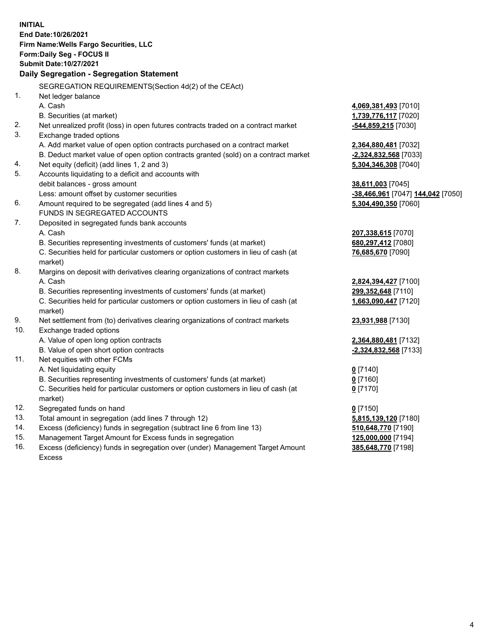**INITIAL End Date:10/26/2021 Firm Name:Wells Fargo Securities, LLC Form:Daily Seg - FOCUS II Submit Date:10/27/2021 Daily Segregation - Segregation Statement** SEGREGATION REQUIREMENTS(Section 4d(2) of the CEAct) 1. Net ledger balance A. Cash **4,069,381,493** [7010] B. Securities (at market) **1,739,776,117** [7020] 2. Net unrealized profit (loss) in open futures contracts traded on a contract market **-544,859,215** [7030] 3. Exchange traded options A. Add market value of open option contracts purchased on a contract market **2,364,880,481** [7032] B. Deduct market value of open option contracts granted (sold) on a contract market **-2,324,832,568** [7033] 4. Net equity (deficit) (add lines 1, 2 and 3) **5,304,346,308** [7040] 5. Accounts liquidating to a deficit and accounts with debit balances - gross amount **38,611,003** [7045] Less: amount offset by customer securities **-38,466,961** [7047] **144,042** [7050] 6. Amount required to be segregated (add lines 4 and 5) **5,304,490,350** [7060] FUNDS IN SEGREGATED ACCOUNTS 7. Deposited in segregated funds bank accounts A. Cash **207,338,615** [7070] B. Securities representing investments of customers' funds (at market) **680,297,412** [7080] C. Securities held for particular customers or option customers in lieu of cash (at market) **76,685,670** [7090] 8. Margins on deposit with derivatives clearing organizations of contract markets A. Cash **2,824,394,427** [7100] B. Securities representing investments of customers' funds (at market) **299,352,648** [7110] C. Securities held for particular customers or option customers in lieu of cash (at market) **1,663,090,447** [7120] 9. Net settlement from (to) derivatives clearing organizations of contract markets **23,931,988** [7130] 10. Exchange traded options A. Value of open long option contracts **2,364,880,481** [7132] B. Value of open short option contracts **-2,324,832,568** [7133] 11. Net equities with other FCMs A. Net liquidating equity **0** [7140] B. Securities representing investments of customers' funds (at market) **0** [7160] C. Securities held for particular customers or option customers in lieu of cash (at market) **0** [7170] 12. Segregated funds on hand **0** [7150]

- 
- 13. Total amount in segregation (add lines 7 through 12) **5,815,139,120** [7180]
- 14. Excess (deficiency) funds in segregation (subtract line 6 from line 13) **510,648,770** [7190]
- 15. Management Target Amount for Excess funds in segregation **125,000,000** [7194]
- 16. Excess (deficiency) funds in segregation over (under) Management Target Amount Excess

**385,648,770** [7198]